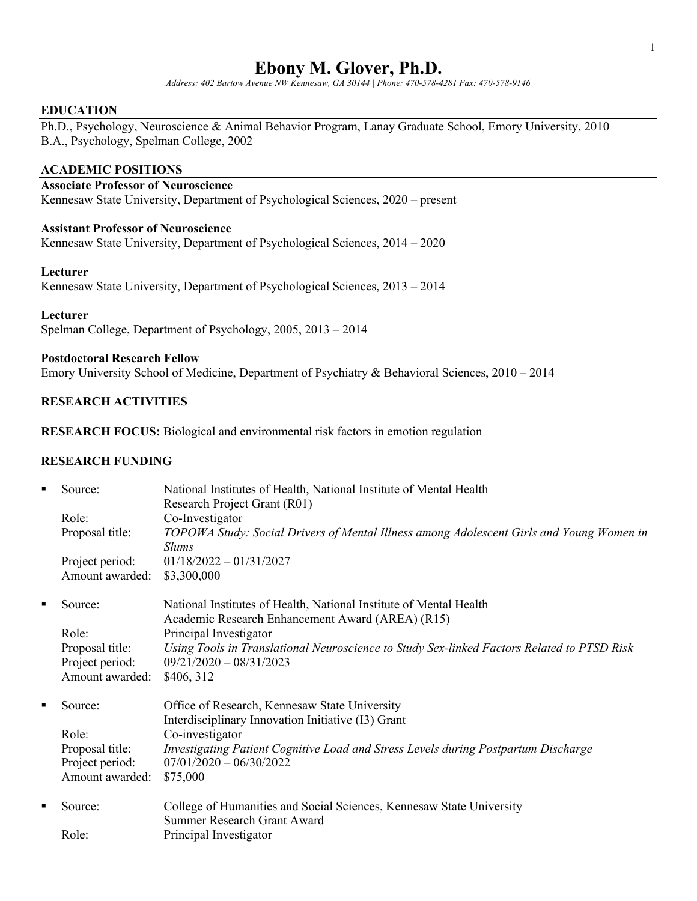# **Ebony M. Glover, Ph.D.**

*Address: 402 Bartow Avenue NW Kennesaw, GA 30144 | Phone: 470-578-4281 Fax: 470-578-9146* 

#### **EDUCATION**

Ph.D., Psychology, Neuroscience & Animal Behavior Program, Lanay Graduate School, Emory University, 2010 B.A., Psychology, Spelman College, 2002

### **ACADEMIC POSITIONS**

## **Associate Professor of Neuroscience**

Kennesaw State University, Department of Psychological Sciences, 2020 – present

#### **Assistant Professor of Neuroscience**

Kennesaw State University, Department of Psychological Sciences, 2014 – 2020

#### **Lecturer**

Kennesaw State University, Department of Psychological Sciences, 2013 – 2014

#### **Lecturer**

Spelman College, Department of Psychology, 2005, 2013 – 2014

### **Postdoctoral Research Fellow**

Emory University School of Medicine, Department of Psychiatry & Behavioral Sciences, 2010 – 2014

#### **RESEARCH ACTIVITIES**

### **RESEARCH FOCUS:** Biological and environmental risk factors in emotion regulation

#### **RESEARCH FUNDING**

| $\blacksquare$ | Source:         | National Institutes of Health, National Institute of Mental Health<br>Research Project Grant (R01)         |
|----------------|-----------------|------------------------------------------------------------------------------------------------------------|
|                | Role:           | Co-Investigator                                                                                            |
|                | Proposal title: | TOPOWA Study: Social Drivers of Mental Illness among Adolescent Girls and Young Women in<br><b>Slums</b>   |
|                | Project period: | $01/18/2022 - 01/31/2027$                                                                                  |
|                | Amount awarded: | \$3,300,000                                                                                                |
| п              | Source:         | National Institutes of Health, National Institute of Mental Health                                         |
|                |                 | Academic Research Enhancement Award (AREA) (R15)                                                           |
|                | Role:           | Principal Investigator                                                                                     |
|                | Proposal title: | Using Tools in Translational Neuroscience to Study Sex-linked Factors Related to PTSD Risk                 |
|                | Project period: | $09/21/2020 - 08/31/2023$                                                                                  |
|                | Amount awarded: | \$406, 312                                                                                                 |
| ٠              | Source:         | Office of Research, Kennesaw State University                                                              |
|                |                 | Interdisciplinary Innovation Initiative (I3) Grant                                                         |
|                | Role:           | Co-investigator                                                                                            |
|                | Proposal title: | Investigating Patient Cognitive Load and Stress Levels during Postpartum Discharge                         |
|                | Project period: | $07/01/2020 - 06/30/2022$                                                                                  |
|                | Amount awarded: | \$75,000                                                                                                   |
| п              | Source:         | College of Humanities and Social Sciences, Kennesaw State University<br><b>Summer Research Grant Award</b> |
|                | Role:           | Principal Investigator                                                                                     |
|                |                 |                                                                                                            |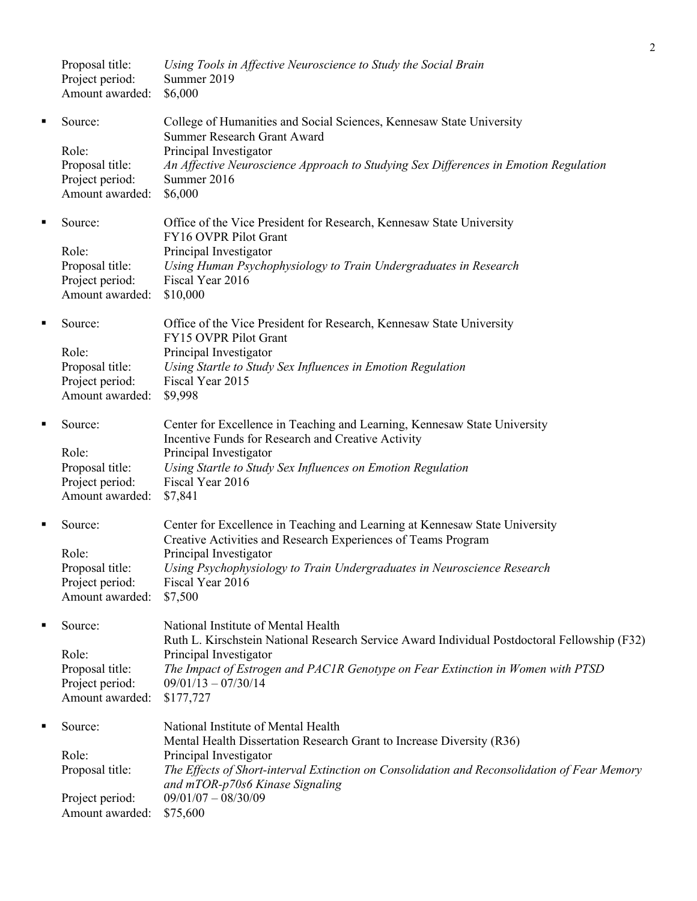|   | Proposal title:<br>Project period:<br>Amount awarded:          | Using Tools in Affective Neuroscience to Study the Social Brain<br>Summer 2019<br>\$6,000                                                                 |
|---|----------------------------------------------------------------|-----------------------------------------------------------------------------------------------------------------------------------------------------------|
| ٠ | Source:<br>Role:                                               | College of Humanities and Social Sciences, Kennesaw State University<br>Summer Research Grant Award                                                       |
|   | Proposal title:<br>Project period:<br>Amount awarded:          | Principal Investigator<br>An Affective Neuroscience Approach to Studying Sex Differences in Emotion Regulation<br>Summer 2016<br>\$6,000                  |
| ٠ | Source:                                                        | Office of the Vice President for Research, Kennesaw State University<br>FY16 OVPR Pilot Grant                                                             |
|   | Role:<br>Proposal title:<br>Project period:<br>Amount awarded: | Principal Investigator<br>Using Human Psychophysiology to Train Undergraduates in Research<br>Fiscal Year 2016<br>\$10,000                                |
| ٠ | Source:                                                        | Office of the Vice President for Research, Kennesaw State University<br>FY15 OVPR Pilot Grant                                                             |
|   | Role:<br>Proposal title:<br>Project period:<br>Amount awarded: | Principal Investigator<br>Using Startle to Study Sex Influences in Emotion Regulation<br>Fiscal Year 2015<br>\$9,998                                      |
| ٠ | Source:                                                        | Center for Excellence in Teaching and Learning, Kennesaw State University<br>Incentive Funds for Research and Creative Activity                           |
|   | Role:<br>Proposal title:<br>Project period:<br>Amount awarded: | Principal Investigator<br>Using Startle to Study Sex Influences on Emotion Regulation<br>Fiscal Year 2016<br>\$7,841                                      |
| ٠ | Source:                                                        | Center for Excellence in Teaching and Learning at Kennesaw State University<br>Creative Activities and Research Experiences of Teams Program              |
|   | Role:<br>Proposal title:<br>Project period:<br>Amount awarded: | Principal Investigator<br>Using Psychophysiology to Train Undergraduates in Neuroscience Research<br>Fiscal Year 2016<br>\$7,500                          |
| ٠ | Source:                                                        | National Institute of Mental Health<br>Ruth L. Kirschstein National Research Service Award Individual Postdoctoral Fellowship (F32)                       |
|   | Role:<br>Proposal title:<br>Project period:<br>Amount awarded: | Principal Investigator<br>The Impact of Estrogen and PAC1R Genotype on Fear Extinction in Women with PTSD<br>$09/01/13 - 07/30/14$<br>\$177,727           |
| ٠ | Source:                                                        | National Institute of Mental Health<br>Mental Health Dissertation Research Grant to Increase Diversity (R36)                                              |
|   | Role:<br>Proposal title:                                       | Principal Investigator<br>The Effects of Short-interval Extinction on Consolidation and Reconsolidation of Fear Memory<br>and mTOR-p70s6 Kinase Signaling |
|   | Project period:<br>Amount awarded:                             | $09/01/07 - 08/30/09$<br>\$75,600                                                                                                                         |

2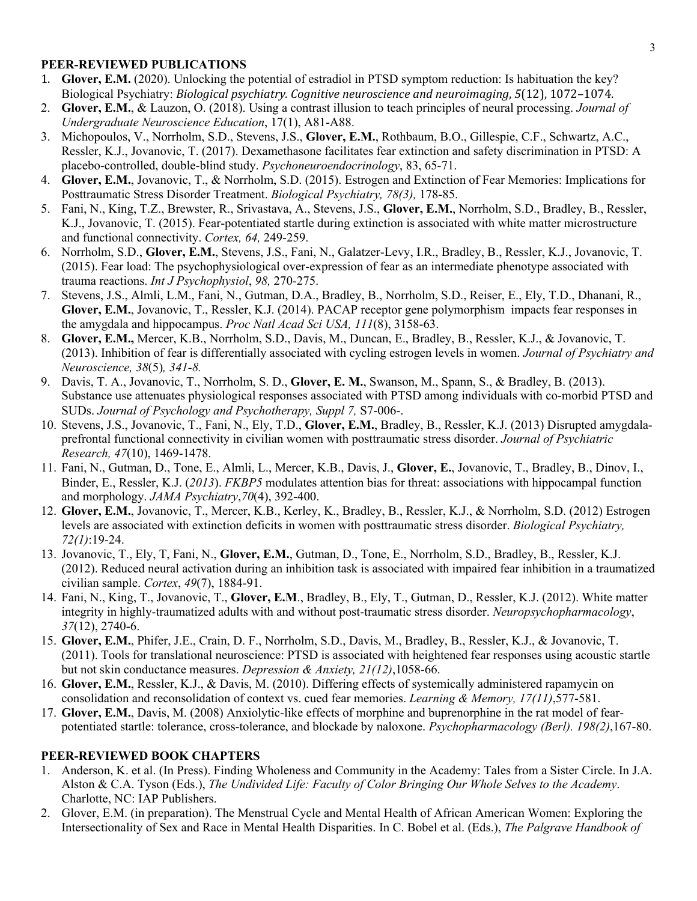### **PEER-REVIEWED PUBLICATIONS**

- 1. **Glover, E.M.** (2020). Unlocking the potential of estradiol in PTSD symptom reduction: Is habituation the key? Biological Psychiatry: *Biological psychiatry. Cognitive neuroscience and neuroimaging*, 5(12), 1072–1074.
- 2. **Glover, E.M.**, & Lauzon, O. (2018). Using a contrast illusion to teach principles of neural processing. *Journal of Undergraduate Neuroscience Education*, 17(1), A81-A88.
- 3. Michopoulos, V., Norrholm, S.D., Stevens, J.S., **Glover, E.M.**, Rothbaum, B.O., Gillespie, C.F., Schwartz, A.C., Ressler, K.J., Jovanovic, T. (2017). Dexamethasone facilitates fear extinction and safety discrimination in PTSD: A placebo-controlled, double-blind study. *Psychoneuroendocrinology*, 83, 65-71.
- 4. **Glover, E.M.**, Jovanovic, T., & Norrholm, S.D. (2015). Estrogen and Extinction of Fear Memories: Implications for Posttraumatic Stress Disorder Treatment. *Biological Psychiatry, 78(3),* 178-85.
- 5. Fani, N., King, T.Z., Brewster, R., Srivastava, A., Stevens, J.S., **Glover, E.M.**, Norrholm, S.D., Bradley, B., Ressler, K.J., Jovanovic, T. (2015). Fear-potentiated startle during extinction is associated with white matter microstructure and functional connectivity. *Cortex, 64,* 249-259.
- 6. Norrholm, S.D., **Glover, E.M.**, Stevens, J.S., Fani, N., Galatzer-Levy, I.R., Bradley, B., Ressler, K.J., Jovanovic, T. (2015). Fear load: The psychophysiological over-expression of fear as an intermediate phenotype associated with trauma reactions. *Int J Psychophysiol*, *98,* 270-275.
- 7. Stevens, J.S., Almli, L.M., Fani, N., Gutman, D.A., Bradley, B., Norrholm, S.D., Reiser, E., Ely, T.D., Dhanani, R., **Glover, E.M.**, Jovanovic, T., Ressler, K.J. (2014). PACAP receptor gene polymorphism impacts fear responses in the amygdala and hippocampus. *Proc Natl Acad Sci USA, 111*(8), 3158-63.
- 8. **Glover, E.M.,** Mercer, K.B., Norrholm, S.D., Davis, M., Duncan, E., Bradley, B., Ressler, K.J., & Jovanovic, T. (2013). Inhibition of fear is differentially associated with cycling estrogen levels in women. *Journal of Psychiatry and Neuroscience, 38*(5)*, 341-8.*
- 9. Davis, T. A., Jovanovic, T., Norrholm, S. D., **Glover, E. M.**, Swanson, M., Spann, S., & Bradley, B. (2013). Substance use attenuates physiological responses associated with PTSD among individuals with co-morbid PTSD and SUDs. *Journal of Psychology and Psychotherapy, Suppl 7,* S7-006-.
- 10. Stevens, J.S., Jovanovic, T., Fani, N., Ely, T.D., **Glover, E.M.**, Bradley, B., Ressler, K.J. (2013) Disrupted amygdalaprefrontal functional connectivity in civilian women with posttraumatic stress disorder. *Journal of Psychiatric Research, 47*(10), 1469-1478.
- 11. Fani, N., Gutman, D., Tone, E., Almli, L., Mercer, K.B., Davis, J., **Glover, E.**, Jovanovic, T., Bradley, B., Dinov, I., Binder, E., Ressler, K.J. (*2013*). *FKBP5* modulates attention bias for threat: associations with hippocampal function and morphology. *JAMA Psychiatry*,*70*(4), 392-400.
- 12. **Glover, E.M.**, Jovanovic, T., Mercer, K.B., Kerley, K., Bradley, B., Ressler, K.J., & Norrholm, S.D. (2012) Estrogen levels are associated with extinction deficits in women with posttraumatic stress disorder. *Biological Psychiatry, 72(1)*:19-24.
- 13. Jovanovic, T., Ely, T, Fani, N., **Glover, E.M.**, Gutman, D., Tone, E., Norrholm, S.D., Bradley, B., Ressler, K.J. (2012). Reduced neural activation during an inhibition task is associated with impaired fear inhibition in a traumatized civilian sample. *Cortex*, *49*(7), 1884-91.
- 14. Fani, N., King, T., Jovanovic, T., **Glover, E.M**., Bradley, B., Ely, T., Gutman, D., Ressler, K.J. (2012). White matter integrity in highly-traumatized adults with and without post-traumatic stress disorder. *Neuropsychopharmacology*, *37*(12), 2740-6.
- 15. **Glover, E.M.**, Phifer, J.E., Crain, D. F., Norrholm, S.D., Davis, M., Bradley, B., Ressler, K.J., & Jovanovic, T. (2011). Tools for translational neuroscience: PTSD is associated with heightened fear responses using acoustic startle but not skin conductance measures. *Depression & Anxiety, 21(12)*,1058-66.
- 16. **Glover, E.M.**, Ressler, K.J., & Davis, M. (2010). Differing effects of systemically administered rapamycin on consolidation and reconsolidation of context vs. cued fear memories. *Learning & Memory, 17(11)*,577-581.
- 17. **Glover, E.M.**, Davis, M. (2008) Anxiolytic-like effects of morphine and buprenorphine in the rat model of fearpotentiated startle: tolerance, cross-tolerance, and blockade by naloxone. *Psychopharmacology (Berl). 198(2)*,167-80.

## **PEER-REVIEWED BOOK CHAPTERS**

- 1. Anderson, K. et al. (In Press). Finding Wholeness and Community in the Academy: Tales from a Sister Circle. In J.A. Alston & C.A. Tyson (Eds.), *The Undivided Life: Faculty of Color Bringing Our Whole Selves to the Academy*. Charlotte, NC: IAP Publishers.
- 2. Glover, E.M. (in preparation). The Menstrual Cycle and Mental Health of African American Women: Exploring the Intersectionality of Sex and Race in Mental Health Disparities. In C. Bobel et al. (Eds.), *The Palgrave Handbook of*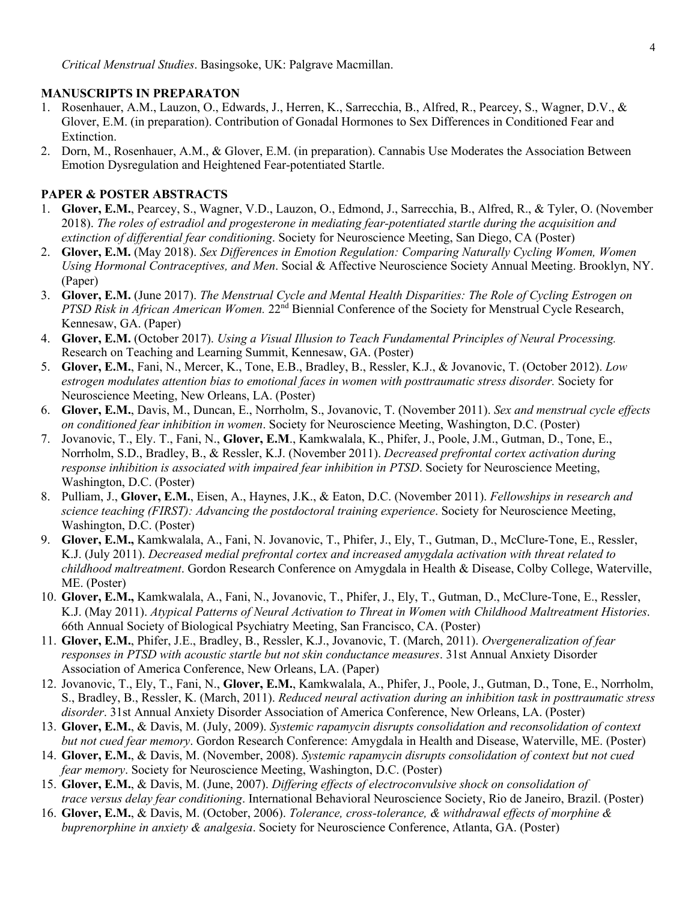#### **MANUSCRIPTS IN PREPARATON**

- 1. Rosenhauer, A.M., Lauzon, O., Edwards, J., Herren, K., Sarrecchia, B., Alfred, R., Pearcey, S., Wagner, D.V., & Glover, E.M. (in preparation). Contribution of Gonadal Hormones to Sex Differences in Conditioned Fear and Extinction.
- 2. Dorn, M., Rosenhauer, A.M., & Glover, E.M. (in preparation). Cannabis Use Moderates the Association Between Emotion Dysregulation and Heightened Fear-potentiated Startle.

### **PAPER & POSTER ABSTRACTS**

- 1. **Glover, E.M.**, Pearcey, S., Wagner, V.D., Lauzon, O., Edmond, J., Sarrecchia, B., Alfred, R., & Tyler, O. (November 2018). *The roles of estradiol and progesterone in mediating fear-potentiated startle during the acquisition and extinction of differential fear conditioning*. Society for Neuroscience Meeting, San Diego, CA (Poster)
- 2. **Glover, E.M.** (May 2018). *Sex Differences in Emotion Regulation: Comparing Naturally Cycling Women, Women Using Hormonal Contraceptives, and Men*. Social & Affective Neuroscience Society Annual Meeting. Brooklyn, NY. (Paper)
- 3. **Glover, E.M.** (June 2017). *The Menstrual Cycle and Mental Health Disparities: The Role of Cycling Estrogen on PTSD Risk in African American Women.* 22<sup>nd</sup> Biennial Conference of the Society for Menstrual Cycle Research, Kennesaw, GA. (Paper)
- 4. **Glover, E.M.** (October 2017). *Using a Visual Illusion to Teach Fundamental Principles of Neural Processing.* Research on Teaching and Learning Summit, Kennesaw, GA. (Poster)
- 5. **Glover, E.M.**, Fani, N., Mercer, K., Tone, E.B., Bradley, B., Ressler, K.J., & Jovanovic, T. (October 2012). *Low estrogen modulates attention bias to emotional faces in women with posttraumatic stress disorder.* Society for Neuroscience Meeting, New Orleans, LA. (Poster)
- 6. **Glover, E.M.**, Davis, M., Duncan, E., Norrholm, S., Jovanovic, T. (November 2011). *Sex and menstrual cycle effects on conditioned fear inhibition in women*. Society for Neuroscience Meeting, Washington, D.C. (Poster)
- 7. Jovanovic, T., Ely. T., Fani, N., **Glover, E.M**., Kamkwalala, K., Phifer, J., Poole, J.M., Gutman, D., Tone, E., Norrholm, S.D., Bradley, B., & Ressler, K.J. (November 2011). *Decreased prefrontal cortex activation during response inhibition is associated with impaired fear inhibition in PTSD*. Society for Neuroscience Meeting, Washington, D.C. (Poster)
- 8. Pulliam, J., **Glover, E.M.**, Eisen, A., Haynes, J.K., & Eaton, D.C. (November 2011). *Fellowships in research and science teaching (FIRST): Advancing the postdoctoral training experience*. Society for Neuroscience Meeting, Washington, D.C. (Poster)
- 9. **Glover, E.M.,** Kamkwalala, A., Fani, N. Jovanovic, T., Phifer, J., Ely, T., Gutman, D., McClure-Tone, E., Ressler, K.J. (July 2011). *Decreased medial prefrontal cortex and increased amygdala activation with threat related to childhood maltreatment*. Gordon Research Conference on Amygdala in Health & Disease, Colby College, Waterville, ME. (Poster)
- 10. **Glover, E.M.,** Kamkwalala, A., Fani, N., Jovanovic, T., Phifer, J., Ely, T., Gutman, D., McClure-Tone, E., Ressler, K.J. (May 2011). *Atypical Patterns of Neural Activation to Threat in Women with Childhood Maltreatment Histories*. 66th Annual Society of Biological Psychiatry Meeting, San Francisco, CA. (Poster)
- 11. **Glover, E.M.**, Phifer, J.E., Bradley, B., Ressler, K.J., Jovanovic, T. (March, 2011). *Overgeneralization of fear responses in PTSD with acoustic startle but not skin conductance measures*. 31st Annual Anxiety Disorder Association of America Conference, New Orleans, LA. (Paper)
- 12. Jovanovic, T., Ely, T., Fani, N., **Glover, E.M.**, Kamkwalala, A., Phifer, J., Poole, J., Gutman, D., Tone, E., Norrholm, S., Bradley, B., Ressler, K. (March, 2011). *Reduced neural activation during an inhibition task in posttraumatic stress disorder*. 31st Annual Anxiety Disorder Association of America Conference, New Orleans, LA. (Poster)
- 13. **Glover, E.M.**, & Davis, M. (July, 2009). *Systemic rapamycin disrupts consolidation and reconsolidation of context but not cued fear memory*. Gordon Research Conference: Amygdala in Health and Disease, Waterville, ME. (Poster)
- 14. **Glover, E.M.**, & Davis, M. (November, 2008). *Systemic rapamycin disrupts consolidation of context but not cued fear memory*. Society for Neuroscience Meeting, Washington, D.C. (Poster)
- 15. **Glover, E.M.**, & Davis, M. (June, 2007). *Differing effects of electroconvulsive shock on consolidation of trace versus delay fear conditioning*. International Behavioral Neuroscience Society, Rio de Janeiro, Brazil. (Poster)
- 16. **Glover, E.M.**, & Davis, M. (October, 2006). *Tolerance, cross-tolerance, & withdrawal effects of morphine & buprenorphine in anxiety & analgesia*. Society for Neuroscience Conference, Atlanta, GA. (Poster)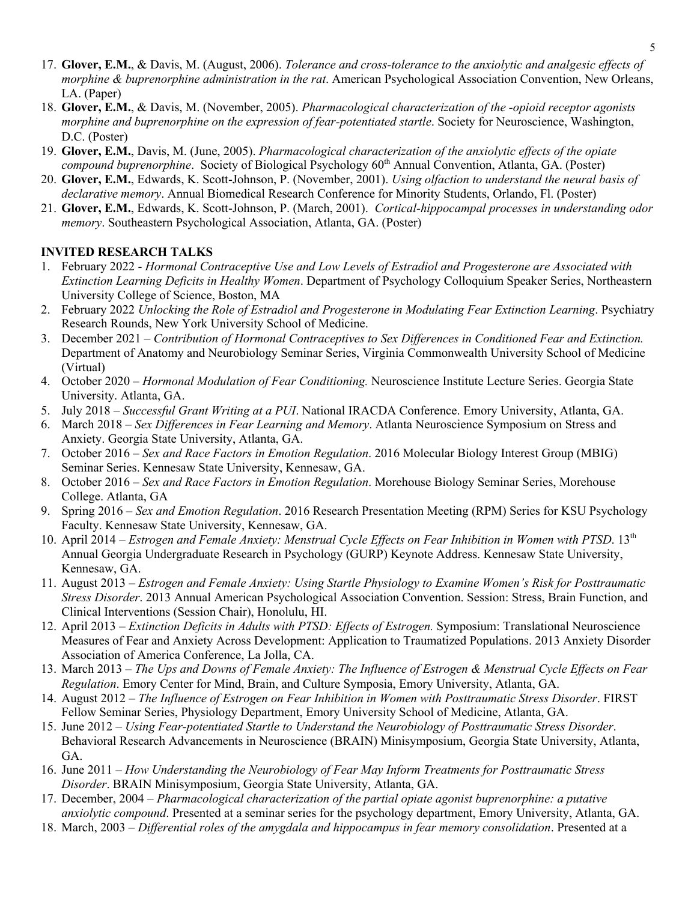- 17. **Glover, E.M.**, & Davis, M. (August, 2006). *Tolerance and cross-tolerance to the anxiolytic and analgesic effects of morphine & buprenorphine administration in the rat*. American Psychological Association Convention, New Orleans, LA. (Paper)
- 18. **Glover, E.M.**, & Davis, M. (November, 2005). *Pharmacological characterization of the -opioid receptor agonists morphine and buprenorphine on the expression of fear-potentiated startle*. Society for Neuroscience, Washington, D.C. (Poster)
- 19. **Glover, E.M.**, Davis, M. (June, 2005). *Pharmacological characterization of the anxiolytic effects of the opiate compound buprenorphine.* Society of Biological Psychology 60<sup>th</sup> Annual Convention, Atlanta, GA. (Poster)
- 20. **Glover, E.M.**, Edwards, K. Scott-Johnson, P. (November, 2001). *Using olfaction to understand the neural basis of declarative memory*. Annual Biomedical Research Conference for Minority Students, Orlando, Fl. (Poster)
- 21. **Glover, E.M.**, Edwards, K. Scott-Johnson, P. (March, 2001). *Cortical-hippocampal processes in understanding odor memory*. Southeastern Psychological Association, Atlanta, GA. (Poster)

### **INVITED RESEARCH TALKS**

- 1. February 2022 *Hormonal Contraceptive Use and Low Levels of Estradiol and Progesterone are Associated with Extinction Learning Deficits in Healthy Women*. Department of Psychology Colloquium Speaker Series, Northeastern University College of Science, Boston, MA
- 2. February 2022 *Unlocking the Role of Estradiol and Progesterone in Modulating Fear Extinction Learning*. Psychiatry Research Rounds, New York University School of Medicine.
- 3. December 2021 *Contribution of Hormonal Contraceptives to Sex Differences in Conditioned Fear and Extinction.* Department of Anatomy and Neurobiology Seminar Series, Virginia Commonwealth University School of Medicine (Virtual)
- 4. October 2020 *Hormonal Modulation of Fear Conditioning.* Neuroscience Institute Lecture Series. Georgia State University. Atlanta, GA.
- 5. July 2018 *Successful Grant Writing at a PUI*. National IRACDA Conference. Emory University, Atlanta, GA.
- 6. March 2018 *Sex Differences in Fear Learning and Memory*. Atlanta Neuroscience Symposium on Stress and Anxiety. Georgia State University, Atlanta, GA.
- 7. October 2016 *Sex and Race Factors in Emotion Regulation*. 2016 Molecular Biology Interest Group (MBIG) Seminar Series. Kennesaw State University, Kennesaw, GA.
- 8. October 2016 *Sex and Race Factors in Emotion Regulation*. Morehouse Biology Seminar Series, Morehouse College. Atlanta, GA
- 9. Spring 2016 *Sex and Emotion Regulation*. 2016 Research Presentation Meeting (RPM) Series for KSU Psychology Faculty. Kennesaw State University, Kennesaw, GA.
- 10. April 2014 *Estrogen and Female Anxiety: Menstrual Cycle Effects on Fear Inhibition in Women with PTSD*. 13th Annual Georgia Undergraduate Research in Psychology (GURP) Keynote Address. Kennesaw State University, Kennesaw, GA.
- 11. August 2013 *Estrogen and Female Anxiety: Using Startle Physiology to Examine Women's Risk for Posttraumatic Stress Disorder*. 2013 Annual American Psychological Association Convention. Session: Stress, Brain Function, and Clinical Interventions (Session Chair), Honolulu, HI.
- 12. April 2013 *Extinction Deficits in Adults with PTSD: Effects of Estrogen.* Symposium: Translational Neuroscience Measures of Fear and Anxiety Across Development: Application to Traumatized Populations. 2013 Anxiety Disorder Association of America Conference, La Jolla, CA.
- 13. March 2013 *The Ups and Downs of Female Anxiety: The Influence of Estrogen & Menstrual Cycle Effects on Fear Regulation*. Emory Center for Mind, Brain, and Culture Symposia, Emory University, Atlanta, GA.
- 14. August 2012 *The Influence of Estrogen on Fear Inhibition in Women with Posttraumatic Stress Disorder*. FIRST Fellow Seminar Series, Physiology Department, Emory University School of Medicine, Atlanta, GA.
- 15. June 2012 *Using Fear-potentiated Startle to Understand the Neurobiology of Posttraumatic Stress Disorder*. Behavioral Research Advancements in Neuroscience (BRAIN) Minisymposium, Georgia State University, Atlanta, GA.
- 16. June 2011 *How Understanding the Neurobiology of Fear May Inform Treatments for Posttraumatic Stress Disorder*. BRAIN Minisymposium, Georgia State University, Atlanta, GA.
- 17. December, 2004 *Pharmacological characterization of the partial opiate agonist buprenorphine: a putative anxiolytic compound*. Presented at a seminar series for the psychology department, Emory University, Atlanta, GA.
- 18. March, 2003 *Differential roles of the amygdala and hippocampus in fear memory consolidation*. Presented at a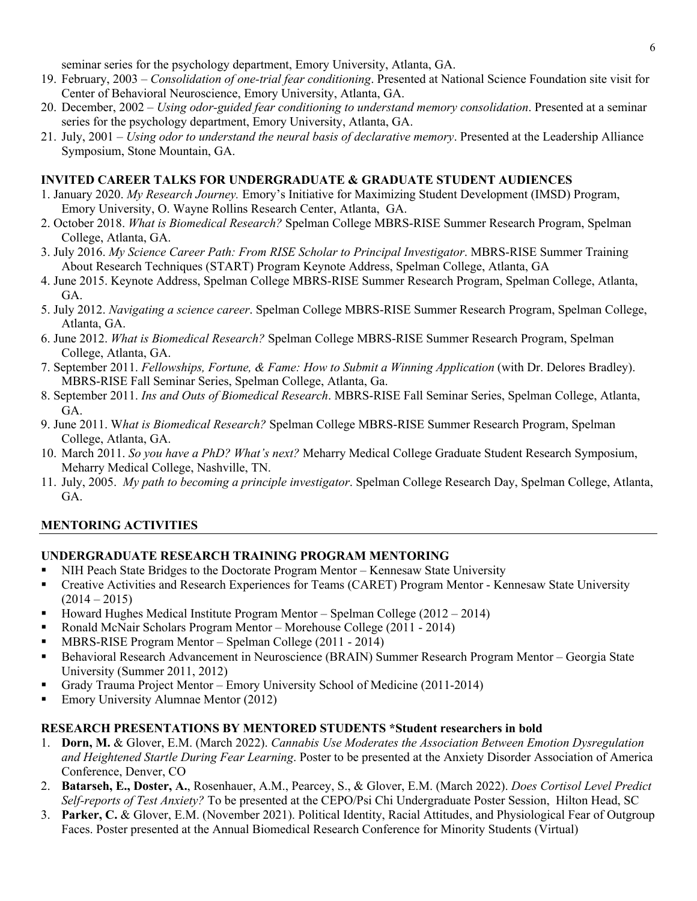seminar series for the psychology department, Emory University, Atlanta, GA.

- 19. February, 2003 *Consolidation of one-trial fear conditioning*. Presented at National Science Foundation site visit for Center of Behavioral Neuroscience, Emory University, Atlanta, GA.
- 20. December, 2002 *Using odor-guided fear conditioning to understand memory consolidation*. Presented at a seminar series for the psychology department, Emory University, Atlanta, GA.
- 21. July, 2001 *Using odor to understand the neural basis of declarative memory*. Presented at the Leadership Alliance Symposium, Stone Mountain, GA.

### **INVITED CAREER TALKS FOR UNDERGRADUATE & GRADUATE STUDENT AUDIENCES**

- 1. January 2020. *My Research Journey.* Emory's Initiative for Maximizing Student Development (IMSD) Program, Emory University, O. Wayne Rollins Research Center, Atlanta, GA.
- 2. October 2018. *What is Biomedical Research?* Spelman College MBRS-RISE Summer Research Program, Spelman College, Atlanta, GA.
- 3. July 2016. *My Science Career Path: From RISE Scholar to Principal Investigator*. MBRS-RISE Summer Training About Research Techniques (START) Program Keynote Address, Spelman College, Atlanta, GA
- 4. June 2015. Keynote Address, Spelman College MBRS-RISE Summer Research Program, Spelman College, Atlanta, GA.
- 5. July 2012. *Navigating a science career*. Spelman College MBRS-RISE Summer Research Program, Spelman College, Atlanta, GA.
- 6. June 2012. *What is Biomedical Research?* Spelman College MBRS-RISE Summer Research Program, Spelman College, Atlanta, GA.
- 7. September 2011. *Fellowships, Fortune, & Fame: How to Submit a Winning Application* (with Dr. Delores Bradley). MBRS-RISE Fall Seminar Series, Spelman College, Atlanta, Ga.
- 8. September 2011. *Ins and Outs of Biomedical Research*. MBRS-RISE Fall Seminar Series, Spelman College, Atlanta, GA.
- 9. June 2011. W*hat is Biomedical Research?* Spelman College MBRS-RISE Summer Research Program, Spelman College, Atlanta, GA.
- 10. March 2011. *So you have a PhD? What's next?* Meharry Medical College Graduate Student Research Symposium, Meharry Medical College, Nashville, TN.
- 11. July, 2005. *My path to becoming a principle investigator*. Spelman College Research Day, Spelman College, Atlanta, GA.

# **MENTORING ACTIVITIES**

### **UNDERGRADUATE RESEARCH TRAINING PROGRAM MENTORING**

- NIH Peach State Bridges to the Doctorate Program Mentor Kennesaw State University
- § Creative Activities and Research Experiences for Teams (CARET) Program Mentor Kennesaw State University  $(2014 - 2015)$
- § Howard Hughes Medical Institute Program Mentor Spelman College (2012 2014)
- § Ronald McNair Scholars Program Mentor Morehouse College (2011 2014)
- § MBRS-RISE Program Mentor Spelman College (2011 2014)
- Behavioral Research Advancement in Neuroscience (BRAIN) Summer Research Program Mentor Georgia State University (Summer 2011, 2012)
- § Grady Trauma Project Mentor Emory University School of Medicine (2011-2014)
- Emory University Alumnae Mentor (2012)

### **RESEARCH PRESENTATIONS BY MENTORED STUDENTS \*Student researchers in bold**

- 1. **Dorn, M.** & Glover, E.M. (March 2022). *Cannabis Use Moderates the Association Between Emotion Dysregulation and Heightened Startle During Fear Learning*. Poster to be presented at the Anxiety Disorder Association of America Conference, Denver, CO
- 2. **Batarseh, E., Doster, A.**, Rosenhauer, A.M., Pearcey, S., & Glover, E.M. (March 2022). *Does Cortisol Level Predict Self-reports of Test Anxiety?* To be presented at the CEPO/Psi Chi Undergraduate Poster Session, Hilton Head, SC
- 3. **Parker, C.** & Glover, E.M. (November 2021). Political Identity, Racial Attitudes, and Physiological Fear of Outgroup Faces. Poster presented at the Annual Biomedical Research Conference for Minority Students (Virtual)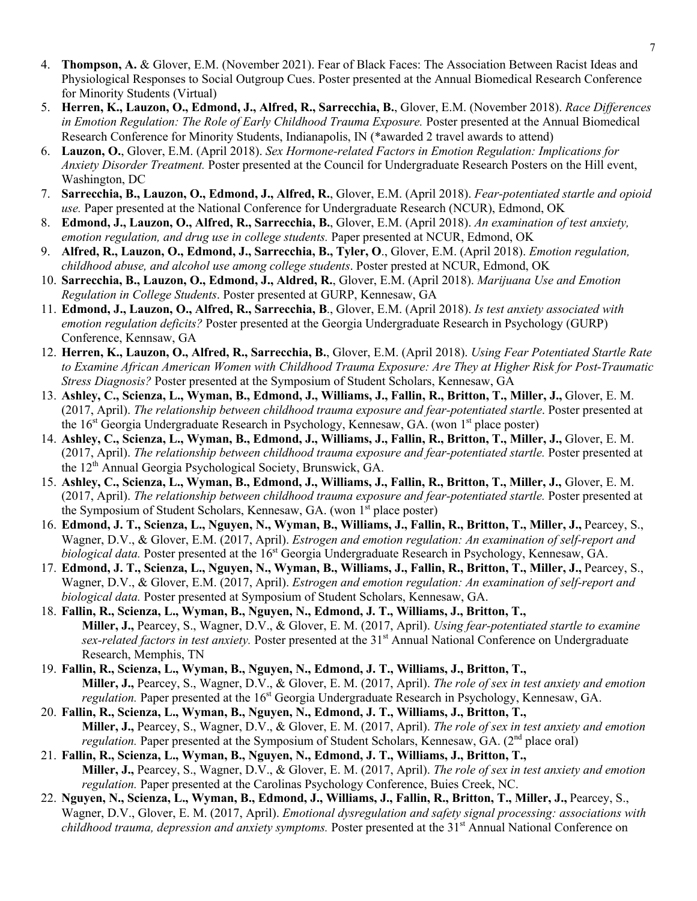- 4. **Thompson, A.** & Glover, E.M. (November 2021). Fear of Black Faces: The Association Between Racist Ideas and Physiological Responses to Social Outgroup Cues. Poster presented at the Annual Biomedical Research Conference for Minority Students (Virtual)
- 5. **Herren, K., Lauzon, O., Edmond, J., Alfred, R., Sarrecchia, B.**, Glover, E.M. (November 2018). *Race Differences in Emotion Regulation: The Role of Early Childhood Trauma Exposure.* Poster presented at the Annual Biomedical Research Conference for Minority Students, Indianapolis, IN (\*awarded 2 travel awards to attend)
- 6. **Lauzon, O.**, Glover, E.M. (April 2018). *Sex Hormone-related Factors in Emotion Regulation: Implications for Anxiety Disorder Treatment.* Poster presented at the Council for Undergraduate Research Posters on the Hill event, Washington, DC
- 7. **Sarrecchia, B., Lauzon, O., Edmond, J., Alfred, R.**, Glover, E.M. (April 2018). *Fear-potentiated startle and opioid use.* Paper presented at the National Conference for Undergraduate Research (NCUR), Edmond, OK
- 8. **Edmond, J., Lauzon, O., Alfred, R., Sarrecchia, B.**, Glover, E.M. (April 2018). *An examination of test anxiety, emotion regulation, and drug use in college students.* Paper presented at NCUR, Edmond, OK
- 9. **Alfred, R., Lauzon, O., Edmond, J., Sarrecchia, B., Tyler, O**., Glover, E.M. (April 2018). *Emotion regulation, childhood abuse, and alcohol use among college students*. Poster prested at NCUR, Edmond, OK
- 10. **Sarrecchia, B., Lauzon, O., Edmond, J., Aldred, R.**, Glover, E.M. (April 2018). *Marijuana Use and Emotion Regulation in College Students*. Poster presented at GURP, Kennesaw, GA
- 11. **Edmond, J., Lauzon, O., Alfred, R., Sarrecchia, B**., Glover, E.M. (April 2018). *Is test anxiety associated with emotion regulation deficits?* Poster presented at the Georgia Undergraduate Research in Psychology (GURP) Conference, Kennsaw, GA
- 12. **Herren, K., Lauzon, O., Alfred, R., Sarrecchia, B.**, Glover, E.M. (April 2018). *Using Fear Potentiated Startle Rate to Examine African American Women with Childhood Trauma Exposure: Are They at Higher Risk for Post-Traumatic Stress Diagnosis?* Poster presented at the Symposium of Student Scholars, Kennesaw, GA
- 13. **Ashley, C., Scienza, L., Wyman, B., Edmond, J., Williams, J., Fallin, R., Britton, T., Miller, J.,** Glover, E. M. (2017, April). *The relationship between childhood trauma exposure and fear-potentiated startle*. Poster presented at the  $16^{st}$  Georgia Undergraduate Research in Psychology, Kennesaw, GA. (won  $1^{st}$  place poster)
- 14. **Ashley, C., Scienza, L., Wyman, B., Edmond, J., Williams, J., Fallin, R., Britton, T., Miller, J.,** Glover, E. M. (2017, April). *The relationship between childhood trauma exposure and fear-potentiated startle.* Poster presented at the 12th Annual Georgia Psychological Society, Brunswick, GA.
- 15. **Ashley, C., Scienza, L., Wyman, B., Edmond, J., Williams, J., Fallin, R., Britton, T., Miller, J.,** Glover, E. M. (2017, April). *The relationship between childhood trauma exposure and fear-potentiated startle.* Poster presented at the Symposium of Student Scholars, Kennesaw, GA. (won 1<sup>st</sup> place poster)
- 16. **Edmond, J. T., Scienza, L., Nguyen, N., Wyman, B., Williams, J., Fallin, R., Britton, T., Miller, J.,** Pearcey, S., Wagner, D.V., & Glover, E.M. (2017, April). *Estrogen and emotion regulation: An examination of self-report and biological data.* Poster presented at the 16<sup>st</sup> Georgia Undergraduate Research in Psychology, Kennesaw, GA.
- 17. **Edmond, J. T., Scienza, L., Nguyen, N., Wyman, B., Williams, J., Fallin, R., Britton, T., Miller, J.,** Pearcey, S., Wagner, D.V., & Glover, E.M. (2017, April). *Estrogen and emotion regulation: An examination of self-report and biological data.* Poster presented at Symposium of Student Scholars, Kennesaw, GA.
- 18. **Fallin, R., Scienza, L., Wyman, B., Nguyen, N., Edmond, J. T., Williams, J., Britton, T., Miller, J.,** Pearcey, S., Wagner, D.V., & Glover, E. M. (2017, April). *Using fear-potentiated startle to examine sex-related factors in test anxiety.* Poster presented at the 31st Annual National Conference on Undergraduate Research, Memphis, TN
- 19. **Fallin, R., Scienza, L., Wyman, B., Nguyen, N., Edmond, J. T., Williams, J., Britton, T., Miller, J.,** Pearcey, S., Wagner, D.V., & Glover, E. M. (2017, April). *The role of sex in test anxiety and emotion regulation.* Paper presented at the 16<sup>st</sup> Georgia Undergraduate Research in Psychology, Kennesaw, GA.
- 20. **Fallin, R., Scienza, L., Wyman, B., Nguyen, N., Edmond, J. T., Williams, J., Britton, T., Miller, J.,** Pearcey, S., Wagner, D.V., & Glover, E. M. (2017, April). *The role of sex in test anxiety and emotion regulation*. Paper presented at the Symposium of Student Scholars, Kennesaw, GA. (2<sup>nd</sup> place oral)
- 21. **Fallin, R., Scienza, L., Wyman, B., Nguyen, N., Edmond, J. T., Williams, J., Britton, T., Miller, J.,** Pearcey, S., Wagner, D.V., & Glover, E. M. (2017, April). *The role of sex in test anxiety and emotion regulation.* Paper presented at the Carolinas Psychology Conference, Buies Creek, NC.
- 22. **Nguyen, N., Scienza, L., Wyman, B., Edmond, J., Williams, J., Fallin, R., Britton, T., Miller, J.,** Pearcey, S., Wagner, D.V., Glover, E. M. (2017, April). *Emotional dysregulation and safety signal processing: associations with childhood trauma, depression and anxiety symptoms.* Poster presented at the 31<sup>st</sup> Annual National Conference on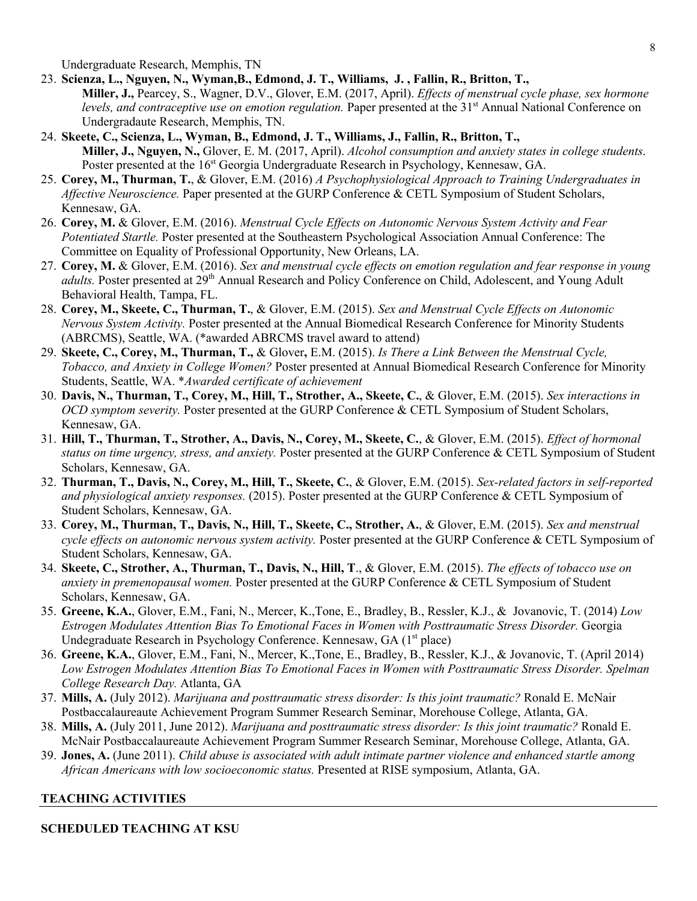Undergraduate Research, Memphis, TN

- 23. **Scienza, L., Nguyen, N., Wyman,B., Edmond, J. T., Williams, J. , Fallin, R., Britton, T., Miller, J.,** Pearcey, S., Wagner, D.V., Glover, E.M. (2017, April). *Effects of menstrual cycle phase, sex hormone levels, and contraceptive use on emotion regulation.* Paper presented at the 31<sup>st</sup> Annual National Conference on Undergradaute Research, Memphis, TN.
- 24. **Skeete, C., Scienza, L., Wyman, B., Edmond, J. T., Williams, J., Fallin, R., Britton, T., Miller, J., Nguyen, N.,** Glover, E. M. (2017, April). *Alcohol consumption and anxiety states in college students*. Poster presented at the  $16<sup>st</sup>$  Georgia Undergraduate Research in Psychology, Kennesaw, GA.
- 25. **Corey, M., Thurman, T.**, & Glover, E.M. (2016) *A Psychophysiological Approach to Training Undergraduates in Affective Neuroscience.* Paper presented at the GURP Conference & CETL Symposium of Student Scholars, Kennesaw, GA.
- 26. **Corey, M.** & Glover, E.M. (2016). *Menstrual Cycle Effects on Autonomic Nervous System Activity and Fear Potentiated Startle.* Poster presented at the Southeastern Psychological Association Annual Conference: The Committee on Equality of Professional Opportunity, New Orleans, LA.
- 27. **Corey, M.** & Glover, E.M. (2016). *Sex and menstrual cycle effects on emotion regulation and fear response in young adults*. Poster presented at 29<sup>th</sup> Annual Research and Policy Conference on Child, Adolescent, and Young Adult Behavioral Health, Tampa, FL.
- 28. **Corey, M., Skeete, C., Thurman, T.**, & Glover, E.M. (2015). *Sex and Menstrual Cycle Effects on Autonomic Nervous System Activity.* Poster presented at the Annual Biomedical Research Conference for Minority Students (ABRCMS), Seattle, WA. (\*awarded ABRCMS travel award to attend)
- 29. **Skeete, C., Corey, M., Thurman, T.,** & Glover**,** E.M. (2015). *Is There a Link Between the Menstrual Cycle, Tobacco, and Anxiety in College Women?* Poster presented at Annual Biomedical Research Conference for Minority Students, Seattle, WA. \**Awarded certificate of achievement*
- 30. **Davis, N., Thurman, T., Corey, M., Hill, T., Strother, A., Skeete, C.**, & Glover, E.M. (2015). *Sex interactions in OCD symptom severity.* Poster presented at the GURP Conference & CETL Symposium of Student Scholars, Kennesaw, GA.
- 31. **Hill, T., Thurman, T., Strother, A., Davis, N., Corey, M., Skeete, C.**, & Glover, E.M. (2015). *Effect of hormonal status on time urgency, stress, and anxiety.* Poster presented at the GURP Conference & CETL Symposium of Student Scholars, Kennesaw, GA.
- 32. **Thurman, T., Davis, N., Corey, M., Hill, T., Skeete, C.**, & Glover, E.M. (2015). *Sex-related factors in self-reported and physiological anxiety responses.* (2015). Poster presented at the GURP Conference & CETL Symposium of Student Scholars, Kennesaw, GA.
- 33. **Corey, M., Thurman, T., Davis, N., Hill, T., Skeete, C., Strother, A.**, & Glover, E.M. (2015). *Sex and menstrual cycle effects on autonomic nervous system activity.* Poster presented at the GURP Conference & CETL Symposium of Student Scholars, Kennesaw, GA.
- 34. **Skeete, C., Strother, A., Thurman, T., Davis, N., Hill, T**., & Glover, E.M. (2015). *The effects of tobacco use on anxiety in premenopausal women.* Poster presented at the GURP Conference & CETL Symposium of Student Scholars, Kennesaw, GA.
- 35. **Greene, K.A.**, Glover, E.M., Fani, N., Mercer, K.,Tone, E., Bradley, B., Ressler, K.J., & Jovanovic, T. (2014) *Low Estrogen Modulates Attention Bias To Emotional Faces in Women with Posttraumatic Stress Disorder.* Georgia Undegraduate Research in Psychology Conference. Kennesaw, GA  $(1<sup>st</sup>$  place)
- 36. **Greene, K.A.**, Glover, E.M., Fani, N., Mercer, K.,Tone, E., Bradley, B., Ressler, K.J., & Jovanovic, T. (April 2014) *Low Estrogen Modulates Attention Bias To Emotional Faces in Women with Posttraumatic Stress Disorder. Spelman College Research Day.* Atlanta, GA
- 37. **Mills, A.** (July 2012). *Marijuana and posttraumatic stress disorder: Is this joint traumatic?* Ronald E. McNair Postbaccalaureaute Achievement Program Summer Research Seminar, Morehouse College, Atlanta, GA.
- 38. **Mills, A.** (July 2011, June 2012). *Marijuana and posttraumatic stress disorder: Is this joint traumatic?* Ronald E. McNair Postbaccalaureaute Achievement Program Summer Research Seminar, Morehouse College, Atlanta, GA.
- 39. **Jones, A.** (June 2011). *Child abuse is associated with adult intimate partner violence and enhanced startle among African Americans with low socioeconomic status.* Presented at RISE symposium, Atlanta, GA.

# **TEACHING ACTIVITIES**

### **SCHEDULED TEACHING AT KSU**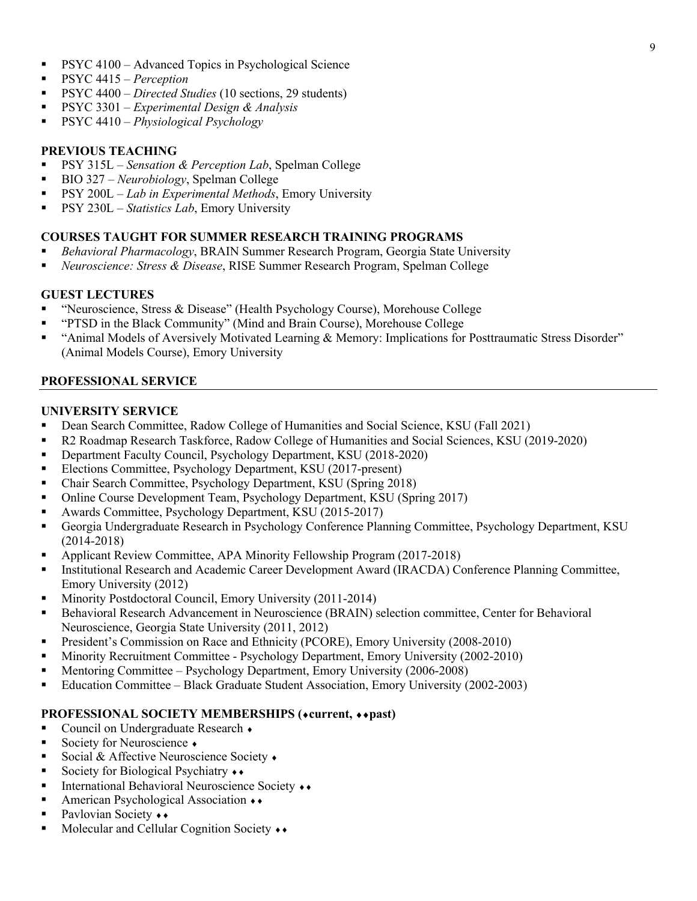- PSYC 4100 Advanced Topics in Psychological Science
- § PSYC 4415 *Perception*
- PSYC 4400 *Directed Studies* (10 sections, 29 students)
- § PSYC 3301 *Experimental Design & Analysis*
- § PSYC 4410 *Physiological Psychology*

### **PREVIOUS TEACHING**

- **•** PSY 315L *Sensation & Perception Lab*, Spelman College
- BIO 327 *Neurobiology*, Spelman College
- PSY 200L *Lab in Experimental Methods*, Emory University
- PSY 230L *Statistics Lab*, Emory University

### **COURSES TAUGHT FOR SUMMER RESEARCH TRAINING PROGRAMS**

- § *Behavioral Pharmacology*, BRAIN Summer Research Program, Georgia State University
- § *Neuroscience: Stress & Disease*, RISE Summer Research Program, Spelman College

### **GUEST LECTURES**

- § "Neuroscience, Stress & Disease" (Health Psychology Course), Morehouse College
- § "PTSD in the Black Community" (Mind and Brain Course), Morehouse College
- "Animal Models of Aversively Motivated Learning & Memory: Implications for Posttraumatic Stress Disorder" (Animal Models Course), Emory University

### **PROFESSIONAL SERVICE**

### **UNIVERSITY SERVICE**

- Dean Search Committee, Radow College of Humanities and Social Science, KSU (Fall 2021)
- § R2 Roadmap Research Taskforce, Radow College of Humanities and Social Sciences, KSU (2019-2020)
- Department Faculty Council, Psychology Department, KSU (2018-2020)
- § Elections Committee, Psychology Department, KSU (2017-present)
- § Chair Search Committee, Psychology Department, KSU (Spring 2018)
- § Online Course Development Team, Psychology Department, KSU (Spring 2017)
- § Awards Committee, Psychology Department, KSU (2015-2017)
- § Georgia Undergraduate Research in Psychology Conference Planning Committee, Psychology Department, KSU (2014-2018)
- § Applicant Review Committee, APA Minority Fellowship Program (2017-2018)
- **Institutional Research and Academic Career Development Award (IRACDA) Conference Planning Committee,** Emory University (2012)
- § Minority Postdoctoral Council, Emory University (2011-2014)
- Behavioral Research Advancement in Neuroscience (BRAIN) selection committee, Center for Behavioral Neuroscience, Georgia State University (2011, 2012)
- President's Commission on Race and Ethnicity (PCORE), Emory University (2008-2010)
- Minority Recruitment Committee Psychology Department, Emory University (2002-2010)
- § Mentoring Committee Psychology Department, Emory University (2006-2008)
- § Education Committee Black Graduate Student Association, Emory University (2002-2003)

### **PROFESSIONAL SOCIETY MEMBERSHIPS (\*current, \*\*past)**

- Council on Undergraduate Research •
- Society for Neuroscience •
- Social & Affective Neuroscience Society •
- Society for Biological Psychiatry  $\leftrightarrow$
- International Behavioral Neuroscience Society ◆◆
- American Psychological Association ◆
- Pavlovian Society ••
- Molecular and Cellular Cognition Society ••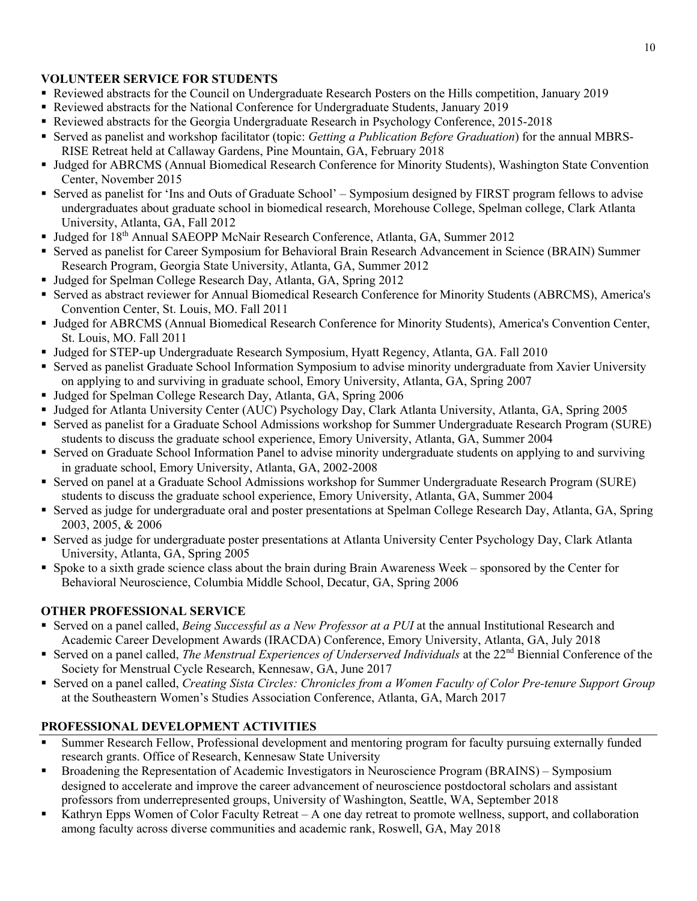# **VOLUNTEER SERVICE FOR STUDENTS**

- § Reviewed abstracts for the Council on Undergraduate Research Posters on the Hills competition, January 2019
- § Reviewed abstracts for the National Conference for Undergraduate Students, January 2019
- § Reviewed abstracts for the Georgia Undergraduate Research in Psychology Conference, 2015-2018
- § Served as panelist and workshop facilitator (topic: *Getting a Publication Before Graduation*) for the annual MBRS-RISE Retreat held at Callaway Gardens, Pine Mountain, GA, February 2018
- § Judged for ABRCMS (Annual Biomedical Research Conference for Minority Students), Washington State Convention Center, November 2015
- Served as panelist for 'Ins and Outs of Graduate School' Symposium designed by FIRST program fellows to advise undergraduates about graduate school in biomedical research, Morehouse College, Spelman college, Clark Atlanta University, Atlanta, GA, Fall 2012
- Judged for 18<sup>th</sup> Annual SAEOPP McNair Research Conference, Atlanta, GA, Summer 2012
- § Served as panelist for Career Symposium for Behavioral Brain Research Advancement in Science (BRAIN) Summer Research Program, Georgia State University, Atlanta, GA, Summer 2012
- Judged for Spelman College Research Day, Atlanta, GA, Spring 2012
- § Served as abstract reviewer for Annual Biomedical Research Conference for Minority Students (ABRCMS), America's Convention Center, St. Louis, MO. Fall 2011
- § Judged for ABRCMS (Annual Biomedical Research Conference for Minority Students), America's Convention Center, St. Louis, MO. Fall 2011
- § Judged for STEP-up Undergraduate Research Symposium, Hyatt Regency, Atlanta, GA. Fall 2010
- § Served as panelist Graduate School Information Symposium to advise minority undergraduate from Xavier University on applying to and surviving in graduate school, Emory University, Atlanta, GA, Spring 2007
- Judged for Spelman College Research Day, Atlanta, GA, Spring 2006
- § Judged for Atlanta University Center (AUC) Psychology Day, Clark Atlanta University, Atlanta, GA, Spring 2005
- § Served as panelist for a Graduate School Admissions workshop for Summer Undergraduate Research Program (SURE) students to discuss the graduate school experience, Emory University, Atlanta, GA, Summer 2004
- § Served on Graduate School Information Panel to advise minority undergraduate students on applying to and surviving in graduate school, Emory University, Atlanta, GA, 2002-2008
- § Served on panel at a Graduate School Admissions workshop for Summer Undergraduate Research Program (SURE) students to discuss the graduate school experience, Emory University, Atlanta, GA, Summer 2004
- § Served as judge for undergraduate oral and poster presentations at Spelman College Research Day, Atlanta, GA, Spring 2003, 2005, & 2006
- § Served as judge for undergraduate poster presentations at Atlanta University Center Psychology Day, Clark Atlanta University, Atlanta, GA, Spring 2005
- § Spoke to a sixth grade science class about the brain during Brain Awareness Week sponsored by the Center for Behavioral Neuroscience, Columbia Middle School, Decatur, GA, Spring 2006

### **OTHER PROFESSIONAL SERVICE**

- § Served on a panel called, *Being Successful as a New Professor at a PUI* at the annual Institutional Research and Academic Career Development Awards (IRACDA) Conference, Emory University, Atlanta, GA, July 2018
- Served on a panel called, *The Menstrual Experiences of Underserved Individuals* at the 22<sup>nd</sup> Biennial Conference of the Society for Menstrual Cycle Research, Kennesaw, GA, June 2017
- § Served on a panel called, *Creating Sista Circles: Chronicles from a Women Faculty of Color Pre-tenure Support Group* at the Southeastern Women's Studies Association Conference, Atlanta, GA, March 2017

# **PROFESSIONAL DEVELOPMENT ACTIVITIES**

- § Summer Research Fellow, Professional development and mentoring program for faculty pursuing externally funded research grants. Office of Research, Kennesaw State University
- § Broadening the Representation of Academic Investigators in Neuroscience Program (BRAINS) Symposium designed to accelerate and improve the career advancement of neuroscience postdoctoral scholars and assistant professors from underrepresented groups, University of Washington, Seattle, WA, September 2018
- Kathryn Epps Women of Color Faculty Retreat A one day retreat to promote wellness, support, and collaboration among faculty across diverse communities and academic rank, Roswell, GA, May 2018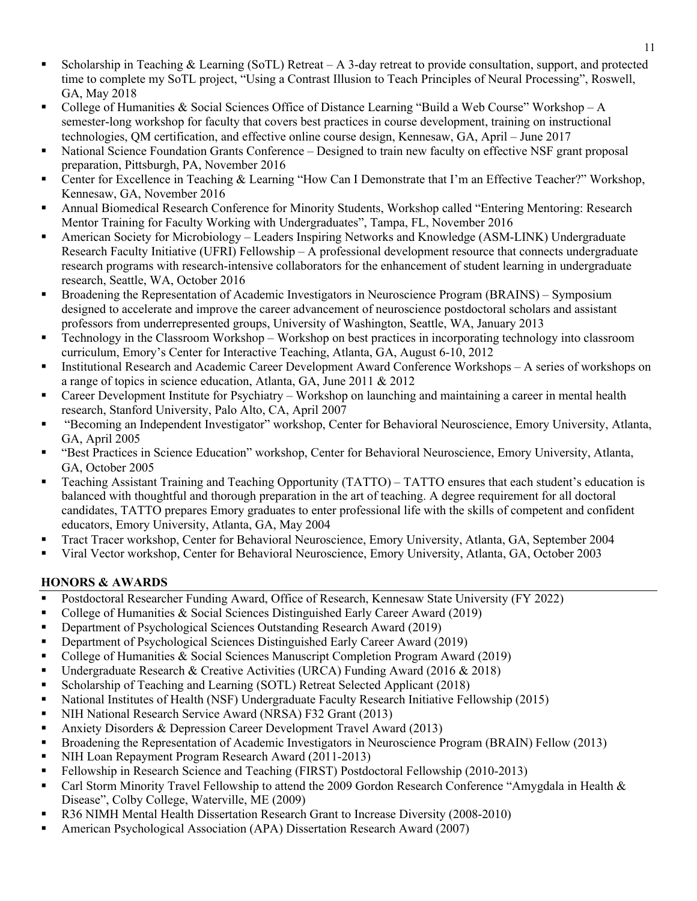- Scholarship in Teaching & Learning (SoTL) Retreat  $A$  3-day retreat to provide consultation, support, and protected time to complete my SoTL project, "Using a Contrast Illusion to Teach Principles of Neural Processing", Roswell, GA, May 2018
- College of Humanities & Social Sciences Office of Distance Learning "Build a Web Course" Workshop A semester-long workshop for faculty that covers best practices in course development, training on instructional technologies, QM certification, and effective online course design, Kennesaw, GA, April – June 2017
- National Science Foundation Grants Conference Designed to train new faculty on effective NSF grant proposal preparation, Pittsburgh, PA, November 2016
- § Center for Excellence in Teaching & Learning "How Can I Demonstrate that I'm an Effective Teacher?" Workshop, Kennesaw, GA, November 2016
- § Annual Biomedical Research Conference for Minority Students, Workshop called "Entering Mentoring: Research Mentor Training for Faculty Working with Undergraduates", Tampa, FL, November 2016
- § American Society for Microbiology Leaders Inspiring Networks and Knowledge (ASM-LINK) Undergraduate Research Faculty Initiative (UFRI) Fellowship – A professional development resource that connects undergraduate research programs with research-intensive collaborators for the enhancement of student learning in undergraduate research, Seattle, WA, October 2016
- § Broadening the Representation of Academic Investigators in Neuroscience Program (BRAINS) Symposium designed to accelerate and improve the career advancement of neuroscience postdoctoral scholars and assistant professors from underrepresented groups, University of Washington, Seattle, WA, January 2013
- Technology in the Classroom Workshop Workshop on best practices in incorporating technology into classroom curriculum, Emory's Center for Interactive Teaching, Atlanta, GA, August 6-10, 2012
- Institutional Research and Academic Career Development Award Conference Workshops A series of workshops on a range of topics in science education, Atlanta, GA, June 2011 & 2012
- § Career Development Institute for Psychiatry Workshop on launching and maintaining a career in mental health research, Stanford University, Palo Alto, CA, April 2007
- § "Becoming an Independent Investigator" workshop, Center for Behavioral Neuroscience, Emory University, Atlanta, GA, April 2005
- "Best Practices in Science Education" workshop, Center for Behavioral Neuroscience, Emory University, Atlanta, GA, October 2005
- Teaching Assistant Training and Teaching Opportunity (TATTO) TATTO ensures that each student's education is balanced with thoughtful and thorough preparation in the art of teaching. A degree requirement for all doctoral candidates, TATTO prepares Emory graduates to enter professional life with the skills of competent and confident educators, Emory University, Atlanta, GA, May 2004
- § Tract Tracer workshop, Center for Behavioral Neuroscience, Emory University, Atlanta, GA, September 2004
- § Viral Vector workshop, Center for Behavioral Neuroscience, Emory University, Atlanta, GA, October 2003

# **HONORS & AWARDS**

- Postdoctoral Researcher Funding Award, Office of Research, Kennesaw State University (FY 2022)
- College of Humanities & Social Sciences Distinguished Early Career Award (2019)
- Department of Psychological Sciences Outstanding Research Award (2019)
- Department of Psychological Sciences Distinguished Early Career Award (2019)
- College of Humanities & Social Sciences Manuscript Completion Program Award (2019)
- § Undergraduate Research & Creative Activities (URCA) Funding Award (2016 & 2018)
- § Scholarship of Teaching and Learning (SOTL) Retreat Selected Applicant (2018)
- National Institutes of Health (NSF) Undergraduate Faculty Research Initiative Fellowship (2015)
- § NIH National Research Service Award (NRSA) F32 Grant (2013)
- Anxiety Disorders & Depression Career Development Travel Award (2013)
- § Broadening the Representation of Academic Investigators in Neuroscience Program (BRAIN) Fellow (2013)
- § NIH Loan Repayment Program Research Award (2011-2013)
- Fellowship in Research Science and Teaching (FIRST) Postdoctoral Fellowship (2010-2013)
- Carl Storm Minority Travel Fellowship to attend the 2009 Gordon Research Conference "Amygdala in Health  $\&$ Disease", Colby College, Waterville, ME (2009)
- § R36 NIMH Mental Health Dissertation Research Grant to Increase Diversity (2008-2010)
- American Psychological Association (APA) Dissertation Research Award (2007)